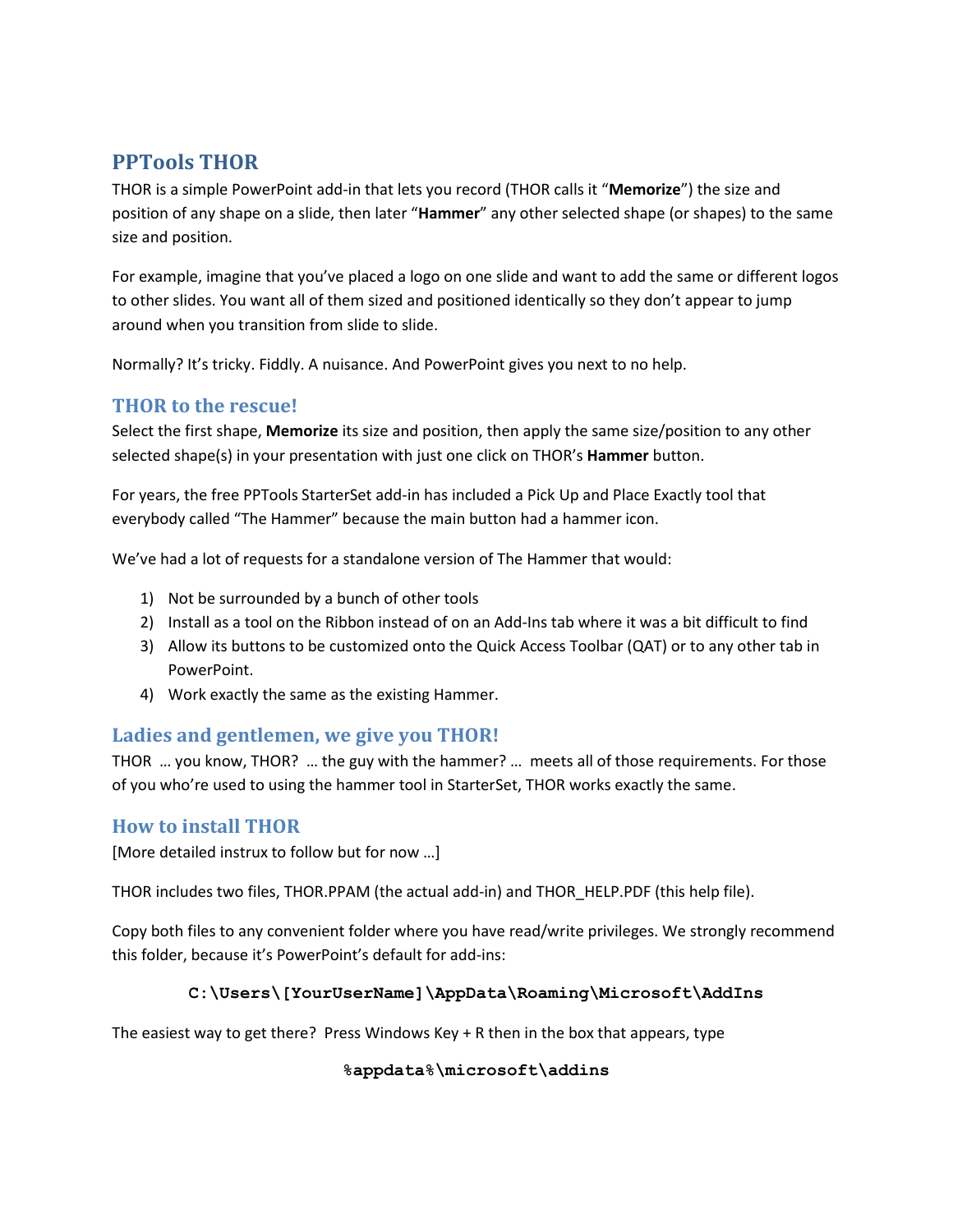# **PPTools THOR**

THOR is a simple PowerPoint add-in that lets you record (THOR calls it "**Memorize**") the size and position of any shape on a slide, then later "**Hammer**" any other selected shape (or shapes) to the same size and position.

For example, imagine that you've placed a logo on one slide and want to add the same or different logos to other slides. You want all of them sized and positioned identically so they don't appear to jump around when you transition from slide to slide.

Normally? It's tricky. Fiddly. A nuisance. And PowerPoint gives you next to no help.

## **THOR to the rescue!**

Select the first shape, **Memorize** its size and position, then apply the same size/position to any other selected shape(s) in your presentation with just one click on THOR's **Hammer** button.

For years, the free PPTools StarterSet add-in has included a Pick Up and Place Exactly tool that everybody called "The Hammer" because the main button had a hammer icon.

We've had a lot of requests for a standalone version of The Hammer that would:

- 1) Not be surrounded by a bunch of other tools
- 2) Install as a tool on the Ribbon instead of on an Add-Ins tab where it was a bit difficult to find
- 3) Allow its buttons to be customized onto the Quick Access Toolbar (QAT) or to any other tab in PowerPoint.
- 4) Work exactly the same as the existing Hammer.

## **Ladies and gentlemen, we give you THOR!**

THOR … you know, THOR? … the guy with the hammer? … meets all of those requirements. For those of you who're used to using the hammer tool in StarterSet, THOR works exactly the same.

## **How to install THOR**

[More detailed instrux to follow but for now …]

THOR includes two files, THOR.PPAM (the actual add-in) and THOR\_HELP.PDF (this help file).

Copy both files to any convenient folder where you have read/write privileges. We strongly recommend this folder, because it's PowerPoint's default for add-ins:

## **C:\Users\[YourUserName]\AppData\Roaming\Microsoft\AddIns**

The easiest way to get there? Press Windows Key  $+$  R then in the box that appears, type

### **%appdata%\microsoft\addins**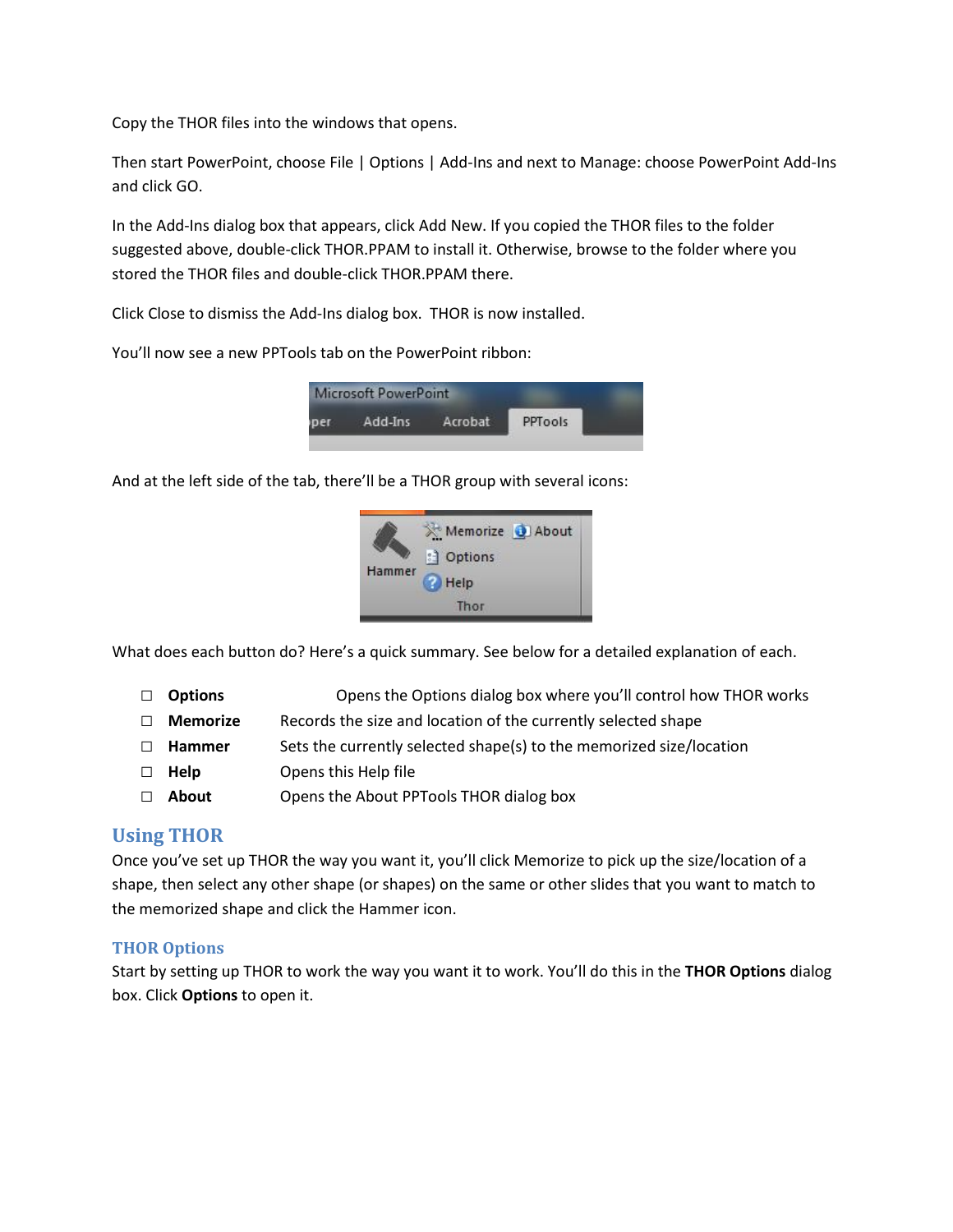Copy the THOR files into the windows that opens.

Then start PowerPoint, choose File | Options | Add-Ins and next to Manage: choose PowerPoint Add-Ins and click GO.

In the Add-Ins dialog box that appears, click Add New. If you copied the THOR files to the folder suggested above, double-click THOR.PPAM to install it. Otherwise, browse to the folder where you stored the THOR files and double-click THOR.PPAM there.

Click Close to dismiss the Add-Ins dialog box. THOR is now installed.

You'll now see a new PPTools tab on the PowerPoint ribbon:



And at the left side of the tab, there'll be a THOR group with several icons:

| Hammer | Memorize a About<br>a) Options<br>Help |  |
|--------|----------------------------------------|--|
|        | Thor                                   |  |

What does each button do? Here's a quick summary. See below for a detailed explanation of each.

□ **Options** Opens the Options dialog box where you'll control how THOR works

- □ **Memorize** Records the size and location of the currently selected shape
- □ **Hammer** Sets the currently selected shape(s) to the memorized size/location
- □ **Help** Opens this Help file
- □ **About** Opens the About PPTools THOR dialog box

## **Using THOR**

Once you've set up THOR the way you want it, you'll click Memorize to pick up the size/location of a shape, then select any other shape (or shapes) on the same or other slides that you want to match to the memorized shape and click the Hammer icon.

### **THOR Options**

Start by setting up THOR to work the way you want it to work. You'll do this in the **THOR Options** dialog box. Click **Options** to open it.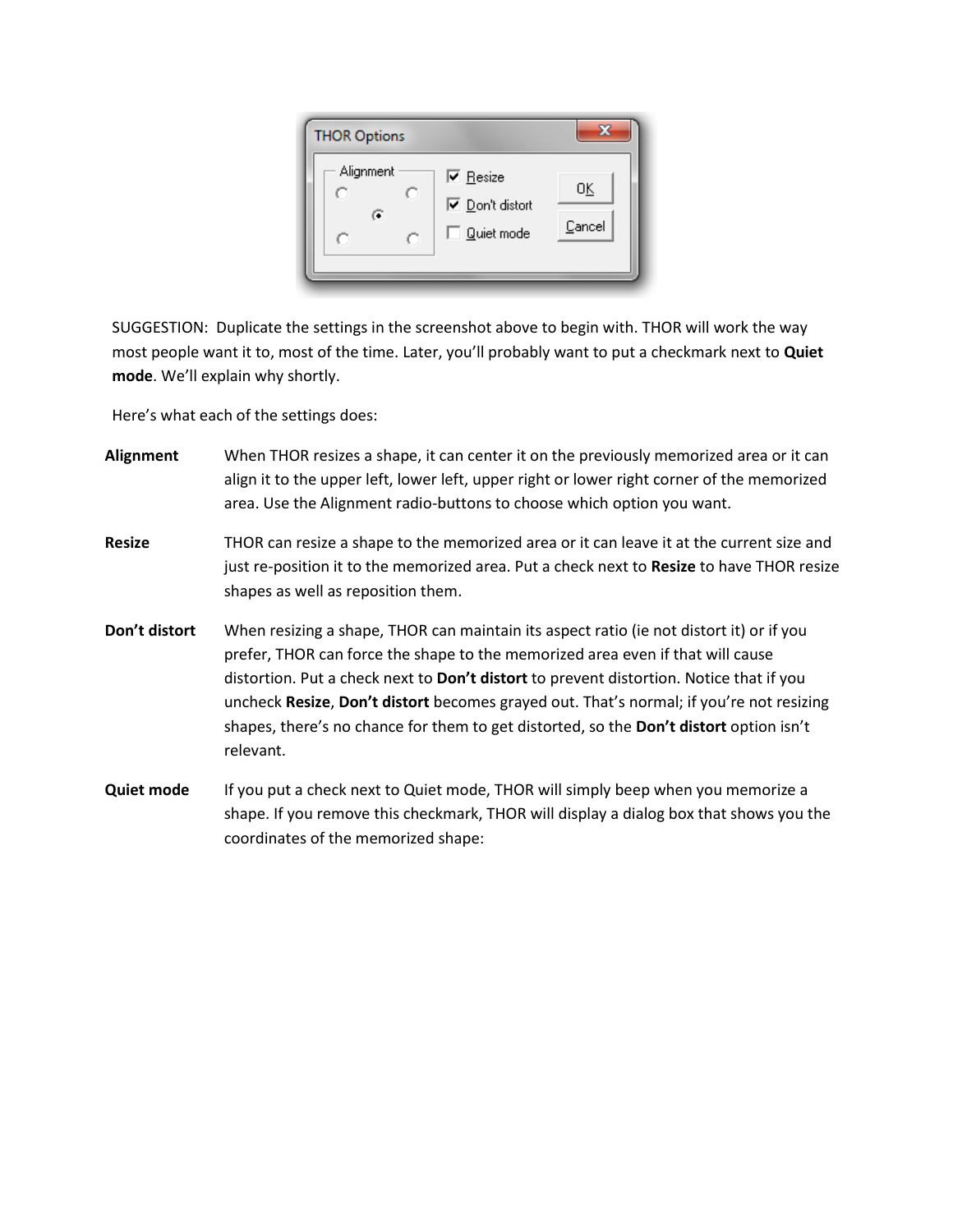

SUGGESTION: Duplicate the settings in the screenshot above to begin with. THOR will work the way most people want it to, most of the time. Later, you'll probably want to put a checkmark next to **Quiet mode**. We'll explain why shortly.

Here's what each of the settings does:

- **Alignment** When THOR resizes a shape, it can center it on the previously memorized area or it can align it to the upper left, lower left, upper right or lower right corner of the memorized area. Use the Alignment radio-buttons to choose which option you want.
- **Resize** THOR can resize a shape to the memorized area or it can leave it at the current size and just re-position it to the memorized area. Put a check next to **Resize** to have THOR resize shapes as well as reposition them.
- **Don't distort** When resizing a shape, THOR can maintain its aspect ratio (ie not distort it) or if you prefer, THOR can force the shape to the memorized area even if that will cause distortion. Put a check next to **Don't distort** to prevent distortion. Notice that if you uncheck **Resize**, **Don't distort** becomes grayed out. That's normal; if you're not resizing shapes, there's no chance for them to get distorted, so the **Don't distort** option isn't relevant.
- **Quiet mode** If you put a check next to Quiet mode, THOR will simply beep when you memorize a shape. If you remove this checkmark, THOR will display a dialog box that shows you the coordinates of the memorized shape: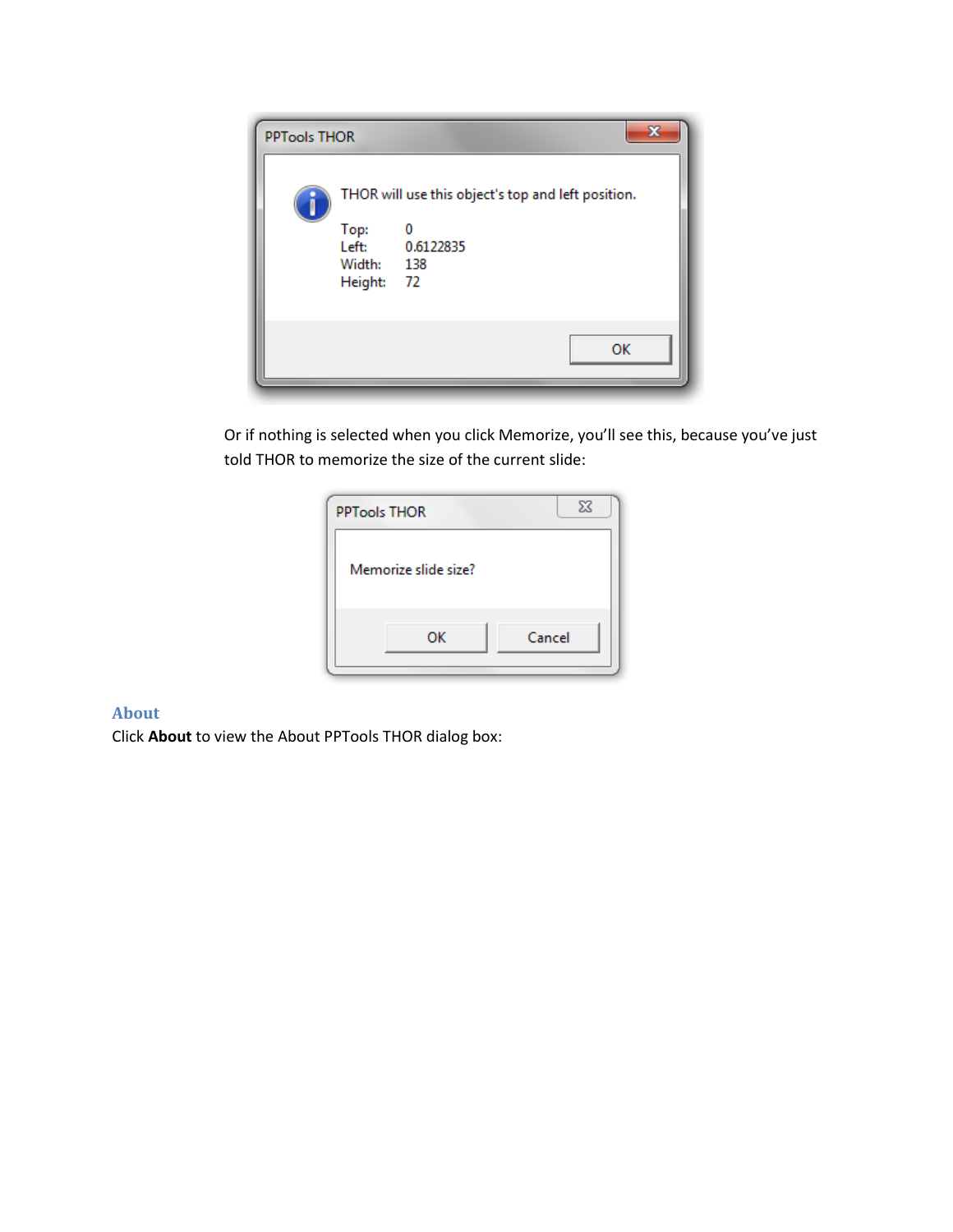

Or if nothing is selected when you click Memorize, you'll see this, because you've just told THOR to memorize the size of the current slide:

| <b>PPTools THOR</b> |                      | Σζ     |  |
|---------------------|----------------------|--------|--|
|                     | Memorize slide size? |        |  |
|                     | ОΚ                   | Cancel |  |

### **About**

Click **About** to view the About PPTools THOR dialog box: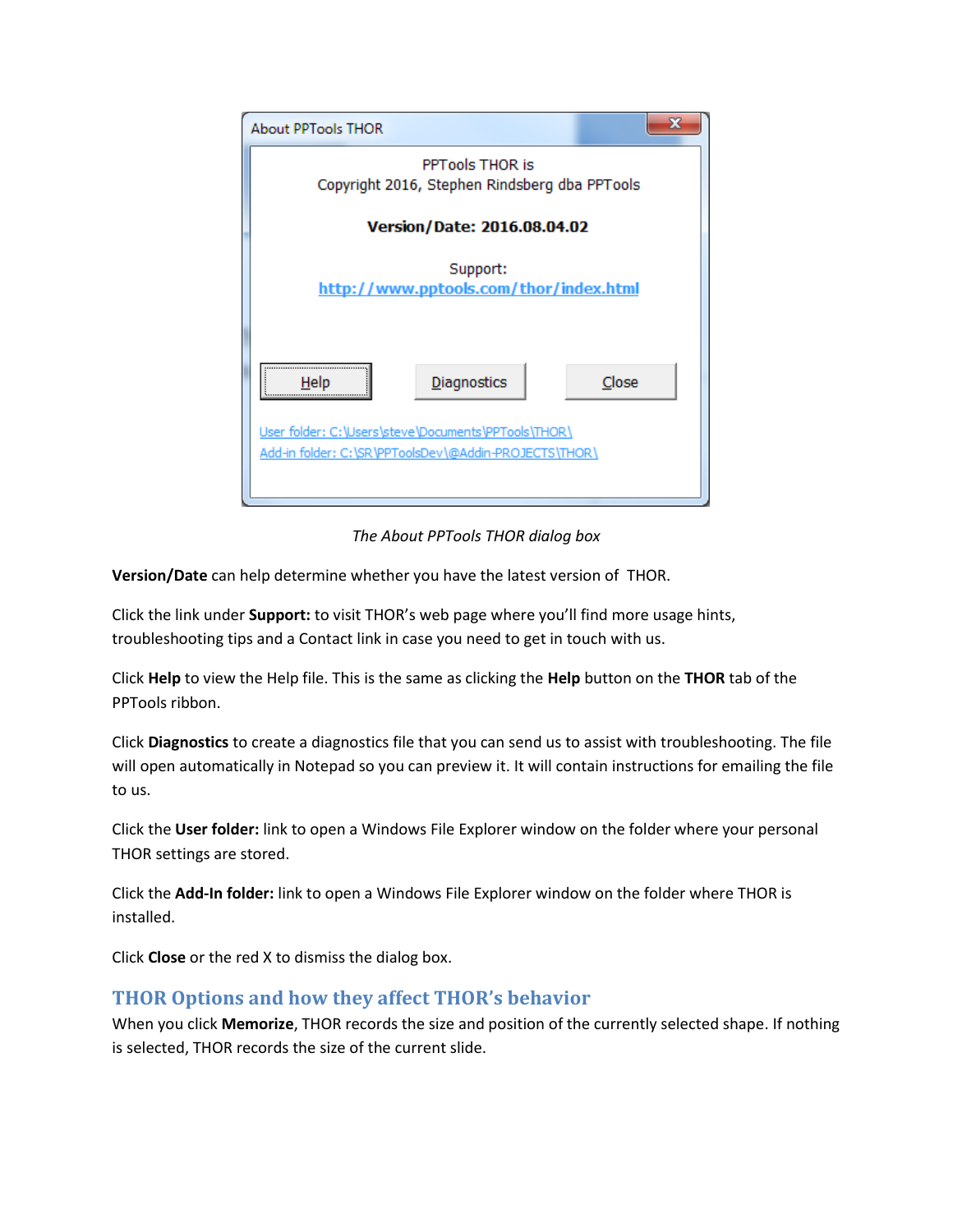| <b>About PPTools THOR</b>                                                                                    |       |  |  |  |
|--------------------------------------------------------------------------------------------------------------|-------|--|--|--|
| <b>PPTools THOR is</b><br>Copyright 2016, Stephen Rindsberg dba PPTools                                      |       |  |  |  |
| Version/Date: 2016.08.04.02                                                                                  |       |  |  |  |
| Support:<br>http://www.pptools.com/thor/index.html                                                           |       |  |  |  |
| Diagnostics<br>Help                                                                                          | Close |  |  |  |
| User folder: C:\Users\steve\Documents\PPTools\THOR\<br>Add-in folder: C:\SR\PPToolsDev\@Addin-PROJECTS\THOR\ |       |  |  |  |

*The About PPTools THOR dialog box*

**Version/Date** can help determine whether you have the latest version of THOR.

Click the link under **Support:** to visit THOR's web page where you'll find more usage hints, troubleshooting tips and a Contact link in case you need to get in touch with us.

Click **Help** to view the Help file. This is the same as clicking the **Help** button on the **THOR** tab of the PPTools ribbon.

Click **Diagnostics** to create a diagnostics file that you can send us to assist with troubleshooting. The file will open automatically in Notepad so you can preview it. It will contain instructions for emailing the file to us.

Click the **User folder:** link to open a Windows File Explorer window on the folder where your personal THOR settings are stored.

Click the **Add-In folder:** link to open a Windows File Explorer window on the folder where THOR is installed.

Click **Close** or the red X to dismiss the dialog box.

## **THOR Options and how they affect THOR's behavior**

When you click **Memorize**, THOR records the size and position of the currently selected shape. If nothing is selected, THOR records the size of the current slide.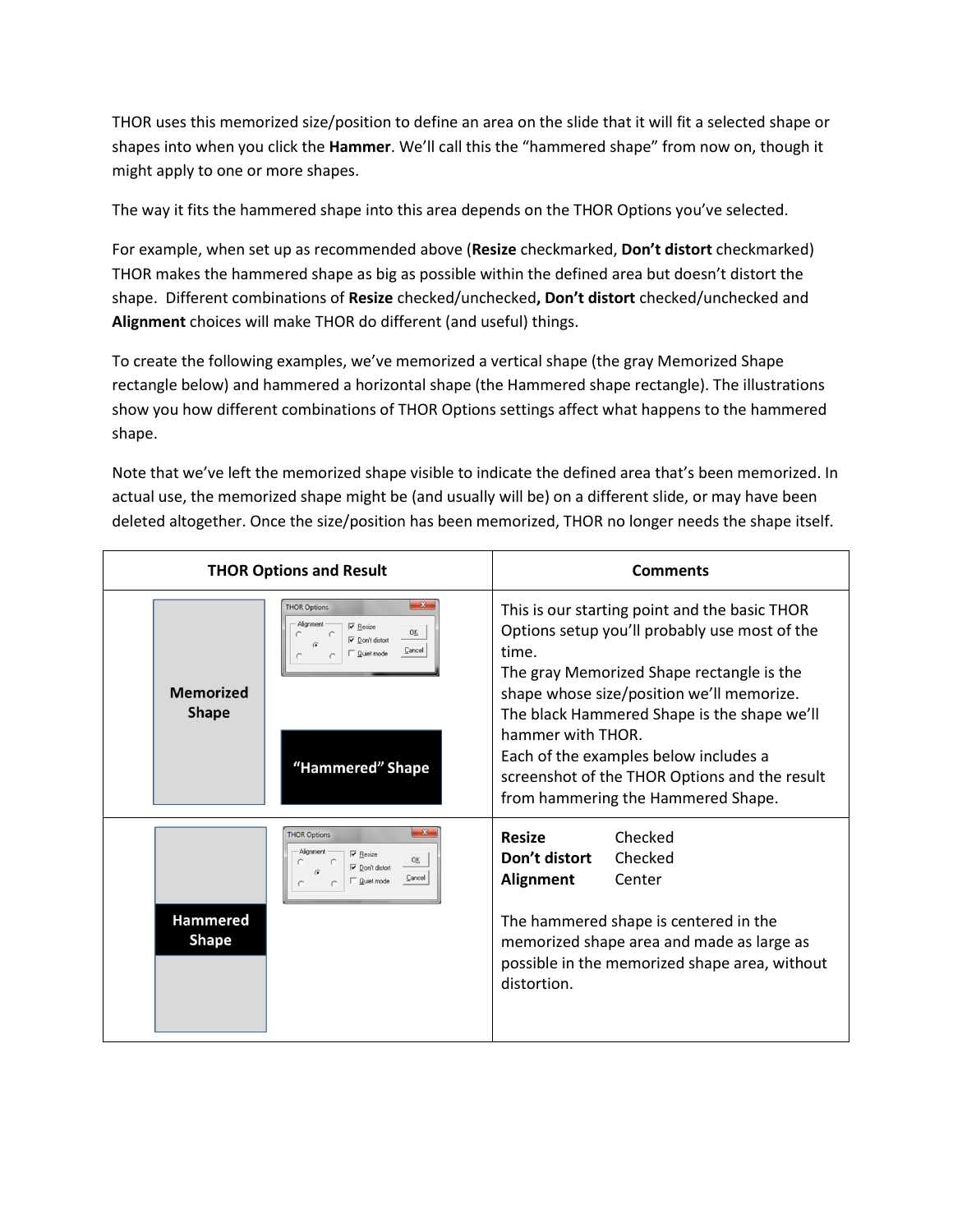THOR uses this memorized size/position to define an area on the slide that it will fit a selected shape or shapes into when you click the **Hammer**. We'll call this the "hammered shape" from now on, though it might apply to one or more shapes.

The way it fits the hammered shape into this area depends on the THOR Options you've selected.

For example, when set up as recommended above (**Resize** checkmarked, **Don't distort** checkmarked) THOR makes the hammered shape as big as possible within the defined area but doesn't distort the shape. Different combinations of **Resize** checked/unchecked**, Don't distort** checked/unchecked and **Alignment** choices will make THOR do different (and useful) things.

To create the following examples, we've memorized a vertical shape (the gray Memorized Shape rectangle below) and hammered a horizontal shape (the Hammered shape rectangle). The illustrations show you how different combinations of THOR Options settings affect what happens to the hammered shape.

Note that we've left the memorized shape visible to indicate the defined area that's been memorized. In actual use, the memorized shape might be (and usually will be) on a different slide, or may have been deleted altogether. Once the size/position has been memorized, THOR no longer needs the shape itself.

| <b>THOR Options and Result</b>   |                                                                                                                                                           | <b>Comments</b>                                                                                                                                                                                                                                                                                                                                                                                       |  |
|----------------------------------|-----------------------------------------------------------------------------------------------------------------------------------------------------------|-------------------------------------------------------------------------------------------------------------------------------------------------------------------------------------------------------------------------------------------------------------------------------------------------------------------------------------------------------------------------------------------------------|--|
| <b>Memorized</b><br><b>Shape</b> | $\mathbf{x}$<br><b>THOR Options</b><br>Alignment<br>$\overline{\mathbf{v}}$ Resize<br>0K<br>$\overline{\mathbf{v}}$ Don't distort<br>Cancel<br>Ouiet mode | This is our starting point and the basic THOR<br>Options setup you'll probably use most of the<br>time.<br>The gray Memorized Shape rectangle is the<br>shape whose size/position we'll memorize.<br>The black Hammered Shape is the shape we'll<br>hammer with THOR.<br>Each of the examples below includes a<br>screenshot of the THOR Options and the result<br>from hammering the Hammered Shape. |  |
|                                  | "Hammered" Shape                                                                                                                                          |                                                                                                                                                                                                                                                                                                                                                                                                       |  |
| <b>Hammered</b><br><b>Shape</b>  | $\mathbf{x}$<br><b>THOR Options</b><br>Alignment<br>$\overline{\triangledown}$ Resize<br>0K<br>Don't distort<br>Cancel<br>Quiet mode                      | <b>Resize</b><br>Checked<br>Don't distort<br>Checked<br>Alignment<br>Center<br>The hammered shape is centered in the<br>memorized shape area and made as large as<br>possible in the memorized shape area, without<br>distortion.                                                                                                                                                                     |  |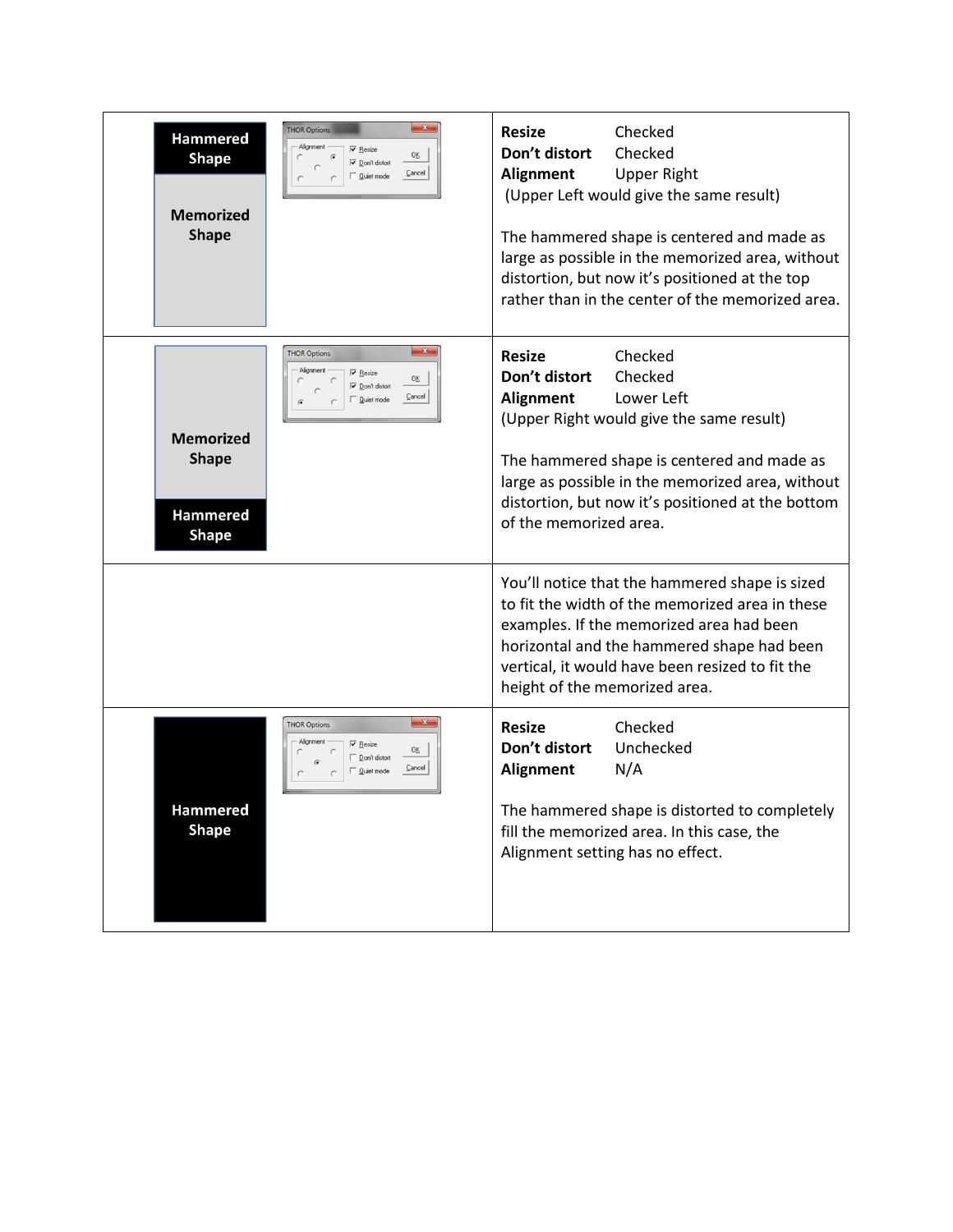| $\mathbf{x}$<br><b>THOR Options</b><br><b>Hammered</b><br>Alignment<br>$\triangleright$ Resize<br>0K<br><b>Shape</b><br>$\mathcal{C}$<br><b>▽</b> Don't distort<br>Cancel<br>Quiet mode<br><b>Memorized</b><br><b>Shape</b> | <b>Resize</b><br>Checked<br>Don't distort<br>Checked<br><b>Alignment</b><br><b>Upper Right</b><br>(Upper Left would give the same result)<br>The hammered shape is centered and made as<br>large as possible in the memorized area, without<br>distortion, but now it's positioned at the top<br>rather than in the center of the memorized area. |
|-----------------------------------------------------------------------------------------------------------------------------------------------------------------------------------------------------------------------------|---------------------------------------------------------------------------------------------------------------------------------------------------------------------------------------------------------------------------------------------------------------------------------------------------------------------------------------------------|
| $\mathbf{x}$<br><b>THOR Options</b><br>Alignment<br>$\overline{\triangledown}$ Resize<br>0K<br><b>▽</b> Don't distort<br>Cancel<br>□ Quiet mode<br><b>Memorized</b><br><b>Shape</b><br><b>Hammered</b><br><b>Shape</b>      | Checked<br><b>Resize</b><br>Don't distort<br>Checked<br>Alignment<br>Lower Left<br>(Upper Right would give the same result)<br>The hammered shape is centered and made as<br>large as possible in the memorized area, without<br>distortion, but now it's positioned at the bottom<br>of the memorized area.                                      |
|                                                                                                                                                                                                                             | You'll notice that the hammered shape is sized<br>to fit the width of the memorized area in these<br>examples. If the memorized area had been<br>horizontal and the hammered shape had been<br>vertical, it would have been resized to fit the<br>height of the memorized area.                                                                   |
| $\mathbf{x}$<br><b>THOR Options</b><br>Alignment<br>$\overline{\triangledown}$ Resize<br>OΚ<br>□ Don't distort<br>Cancel<br><b>Quiet mode</b><br><b>Hammered</b><br><b>Shape</b>                                            | <b>Resize</b><br>Checked<br>Don't distort<br>Unchecked<br><b>Alignment</b><br>N/A<br>The hammered shape is distorted to completely<br>fill the memorized area. In this case, the<br>Alignment setting has no effect.                                                                                                                              |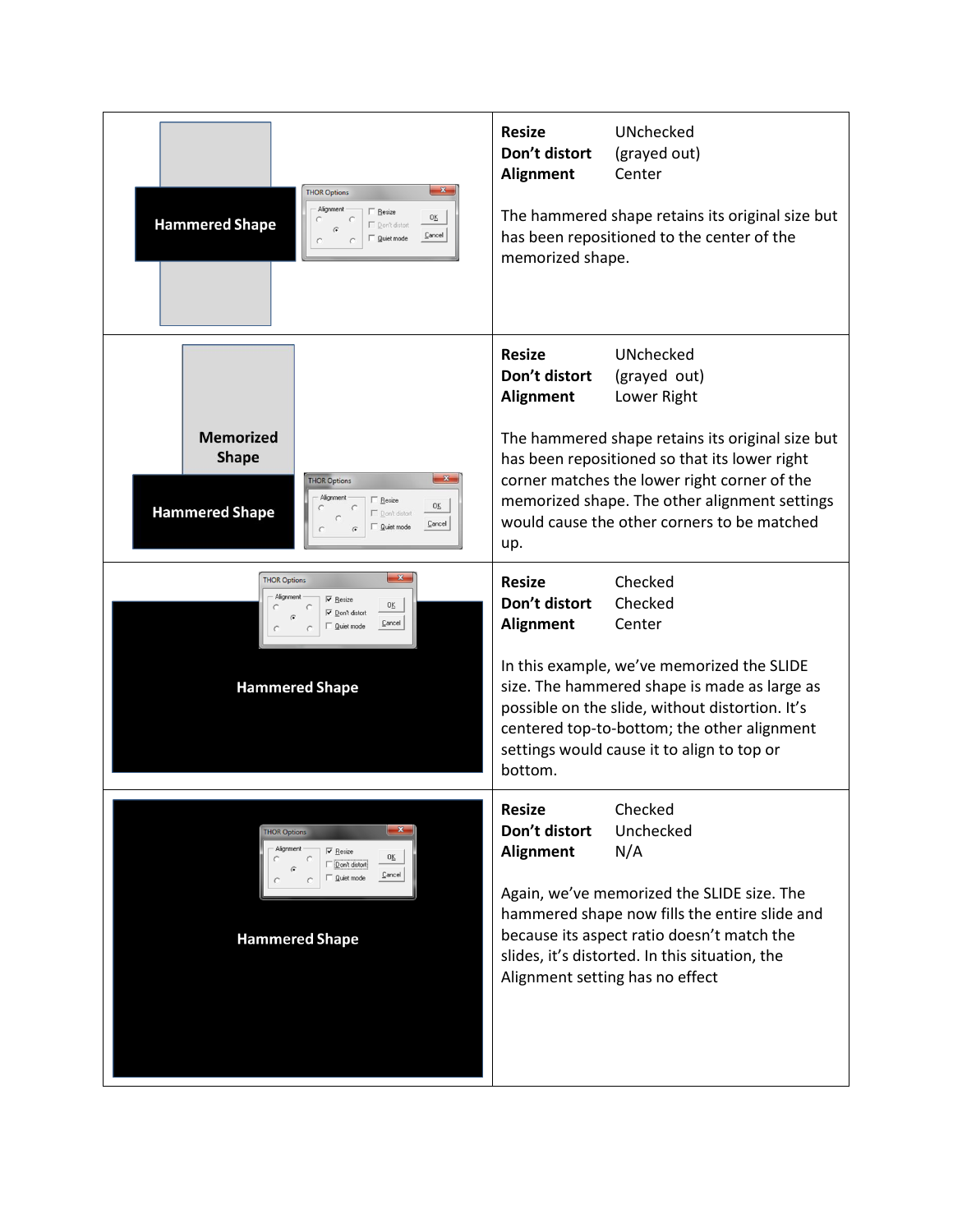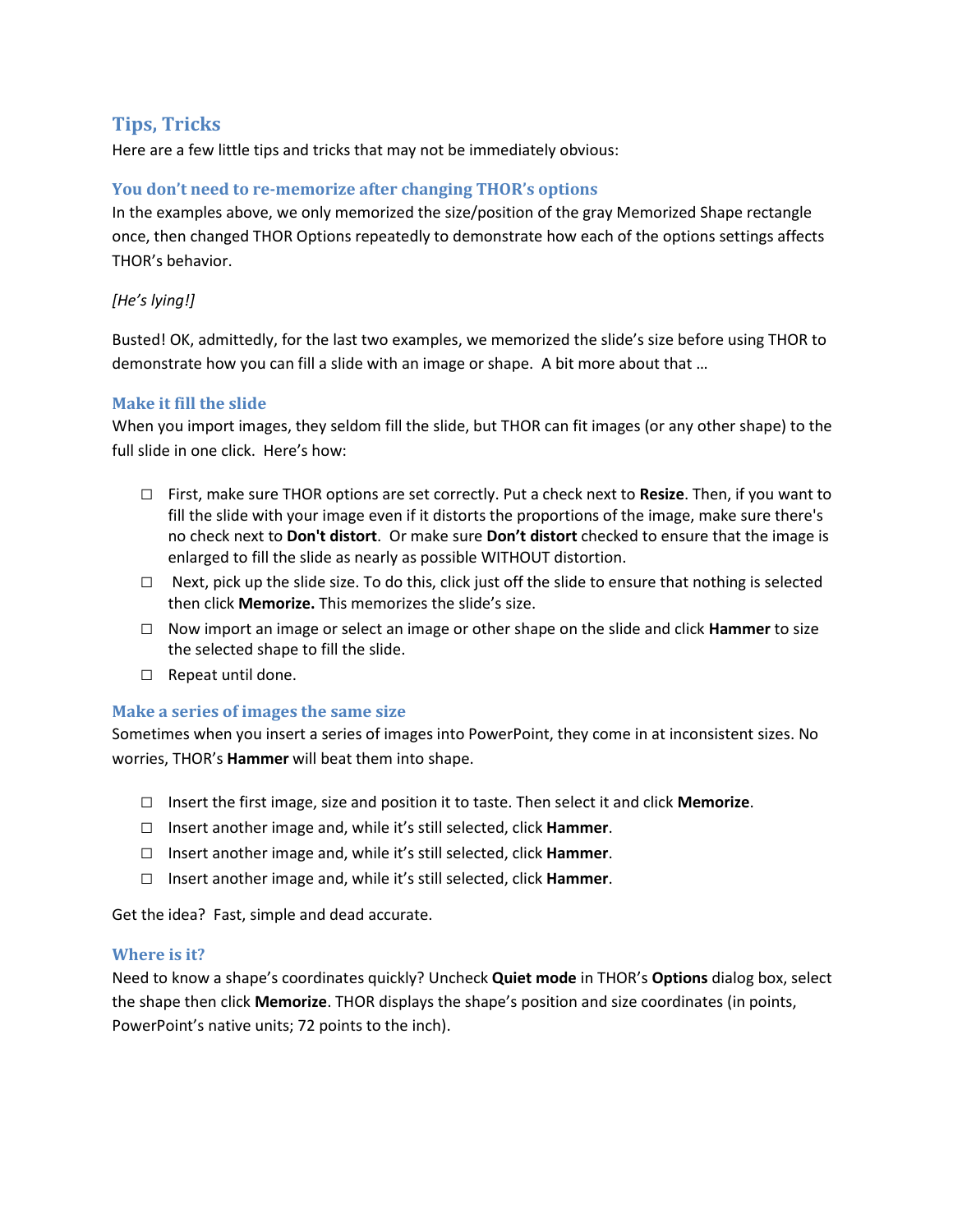## **Tips, Tricks**

Here are a few little tips and tricks that may not be immediately obvious:

### **You don't need to re-memorize after changing THOR's options**

In the examples above, we only memorized the size/position of the gray Memorized Shape rectangle once, then changed THOR Options repeatedly to demonstrate how each of the options settings affects THOR's behavior.

### *[He's lying!]*

Busted! OK, admittedly, for the last two examples, we memorized the slide's size before using THOR to demonstrate how you can fill a slide with an image or shape. A bit more about that …

#### **Make it fill the slide**

When you import images, they seldom fill the slide, but THOR can fit images (or any other shape) to the full slide in one click. Here's how:

- □ First, make sure THOR options are set correctly. Put a check next to **Resize**. Then, if you want to fill the slide with your image even if it distorts the proportions of the image, make sure there's no check next to **Don't distort**. Or make sure **Don't distort** checked to ensure that the image is enlarged to fill the slide as nearly as possible WITHOUT distortion.
- $\Box$  Next, pick up the slide size. To do this, click just off the slide to ensure that nothing is selected then click **Memorize.** This memorizes the slide's size.
- □ Now import an image or select an image or other shape on the slide and click **Hammer** to size the selected shape to fill the slide.
- □ Repeat until done.

#### **Make a series of images the same size**

Sometimes when you insert a series of images into PowerPoint, they come in at inconsistent sizes. No worries, THOR's **Hammer** will beat them into shape.

- □ Insert the first image, size and position it to taste. Then select it and click **Memorize**.
- □ Insert another image and, while it's still selected, click **Hammer**.
- □ Insert another image and, while it's still selected, click **Hammer**.
- □ Insert another image and, while it's still selected, click **Hammer**.

Get the idea? Fast, simple and dead accurate.

#### **Where is it?**

Need to know a shape's coordinates quickly? Uncheck **Quiet mode** in THOR's **Options** dialog box, select the shape then click **Memorize**. THOR displays the shape's position and size coordinates (in points, PowerPoint's native units; 72 points to the inch).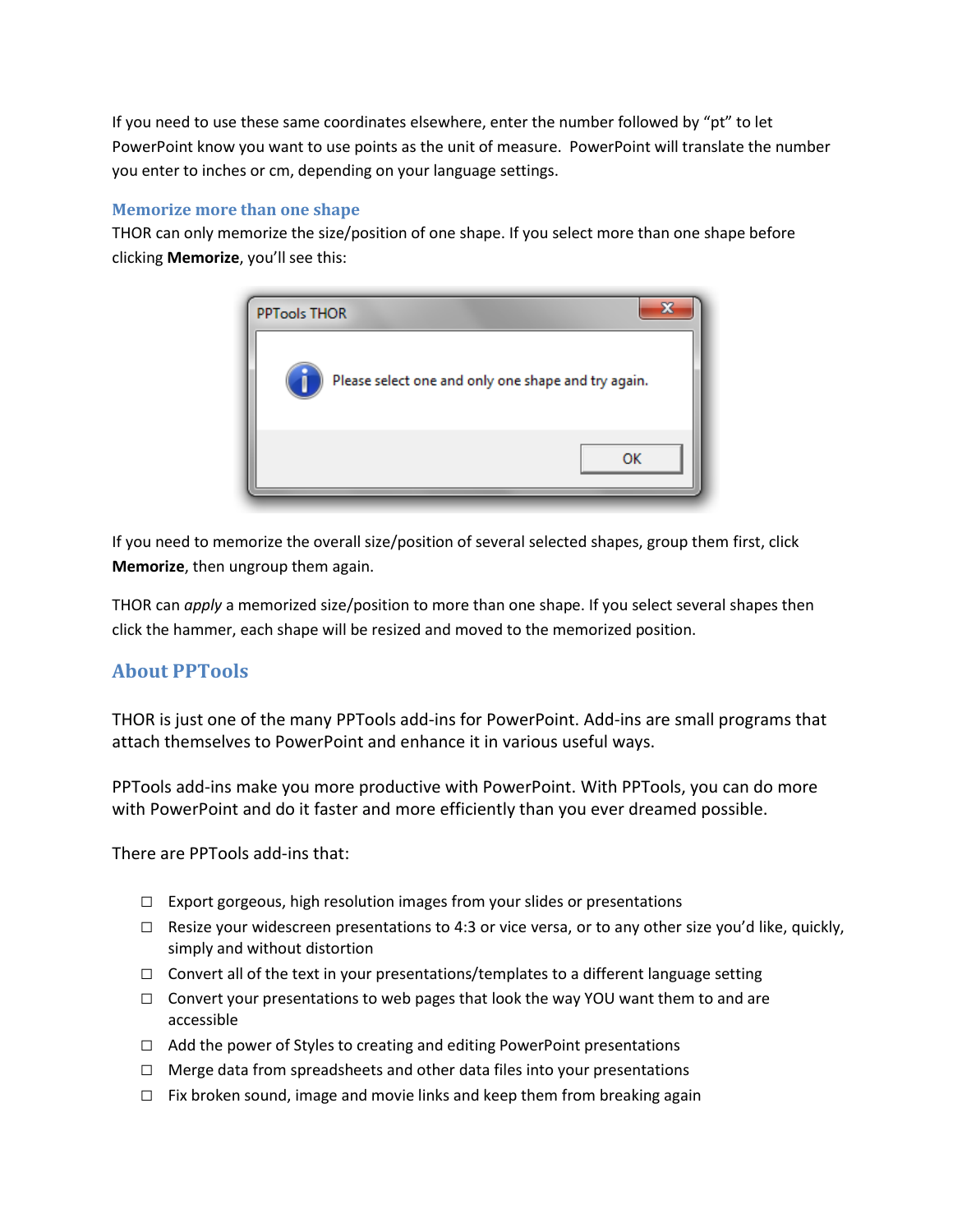If you need to use these same coordinates elsewhere, enter the number followed by "pt" to let PowerPoint know you want to use points as the unit of measure. PowerPoint will translate the number you enter to inches or cm, depending on your language settings.

### **Memorize more than one shape**

THOR can only memorize the size/position of one shape. If you select more than one shape before clicking **Memorize**, you'll see this:



If you need to memorize the overall size/position of several selected shapes, group them first, click **Memorize**, then ungroup them again.

THOR can *apply* a memorized size/position to more than one shape. If you select several shapes then click the hammer, each shape will be resized and moved to the memorized position.

## **About PPTools**

THOR is just one of the many PPTools add-ins for PowerPoint. Add-ins are small programs that attach themselves to PowerPoint and enhance it in various useful ways.

PPTools add-ins make you more productive with PowerPoint. With PPTools, you can do more with PowerPoint and do it faster and more efficiently than you ever dreamed possible.

There are PPTools add-ins that:

- □ Export gorgeous, high resolution images from your slides or presentations
- $\Box$  Resize your widescreen presentations to 4:3 or vice versa, or to any other size you'd like, quickly, simply and without distortion
- $\Box$  Convert all of the text in your presentations/templates to a different language setting
- $\Box$  Convert your presentations to web pages that look the way YOU want them to and are accessible
- $\Box$  Add the power of Styles to creating and editing PowerPoint presentations
- $\Box$  Merge data from spreadsheets and other data files into your presentations
- $\Box$  Fix broken sound, image and movie links and keep them from breaking again